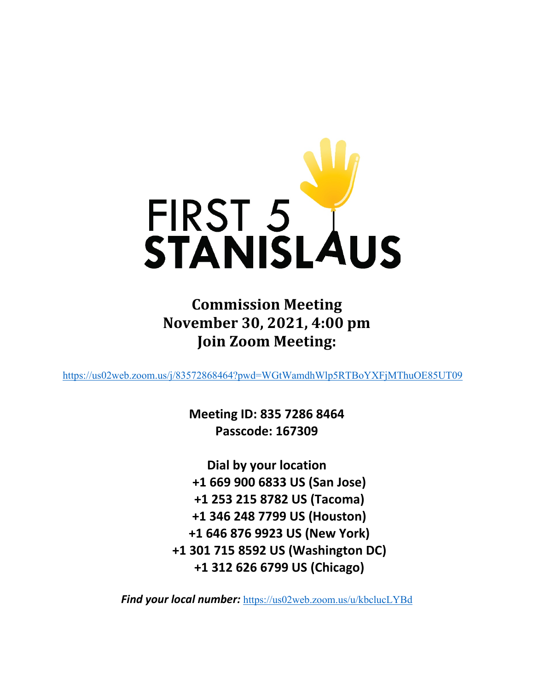

**Commission Meeting November 30, 2021, 4:00 pm Join Zoom Meeting:**

<https://us02web.zoom.us/j/83572868464?pwd=WGtWamdhWlp5RTBoYXFjMThuOE85UT09>

**Meeting ID: 835 7286 8464 Passcode: 167309**

**Dial by your location +1 669 900 6833 US (San Jose) +1 253 215 8782 US (Tacoma) +1 346 248 7799 US (Houston) +1 646 876 9923 US (New York) +1 301 715 8592 US (Washington DC) +1 312 626 6799 US (Chicago)**

**Find your local number:** <https://us02web.zoom.us/u/kbclucLYBd>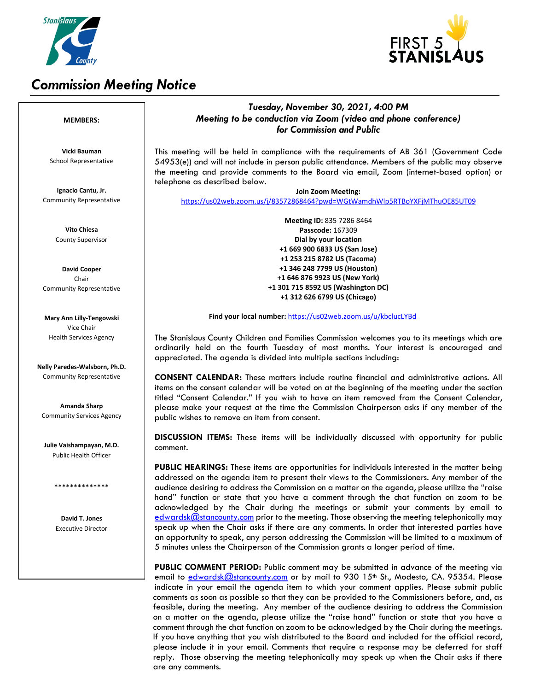

# *Commission Meeting Notice*



### *Tuesday, November 30, 2021, 4:00 PM Meeting to be conduction via Zoom (video and phone conference) for Commission and Public*

This meeting will be held in compliance with the requirements of AB 361 (Government Code 54953(e)) and will not include in person public attendance. Members of the public may observe the meeting and provide comments to the Board via email, Zoom (internet-based option) or telephone as described below.

**Join Zoom Meeting:** <https://us02web.zoom.us/j/83572868464?pwd=WGtWamdhWlp5RTBoYXFjMThuOE85UT09>

> **Meeting ID:** 835 7286 8464 **Passcode:** 167309 **Dial by your location +1 669 900 6833 US (San Jose) +1 253 215 8782 US (Tacoma) +1 346 248 7799 US (Houston) +1 646 876 9923 US (New York) +1 301 715 8592 US (Washington DC) +1 312 626 6799 US (Chicago)**

**Find your local number:** <https://us02web.zoom.us/u/kbclucLYBd>

The Stanislaus County Children and Families Commission welcomes you to its meetings which are ordinarily held on the fourth Tuesday of most months. Your interest is encouraged and appreciated. The agenda is divided into multiple sections including:

**CONSENT CALENDAR:** These matters include routine financial and administrative actions. All items on the consent calendar will be voted on at the beginning of the meeting under the section titled "Consent Calendar." If you wish to have an item removed from the Consent Calendar, please make your request at the time the Commission Chairperson asks if any member of the public wishes to remove an item from consent.

**DISCUSSION ITEMS:** These items will be individually discussed with opportunity for public comment.

**PUBLIC HEARINGS:** These items are opportunities for individuals interested in the matter being addressed on the agenda item to present their views to the Commissioners. Any member of the audience desiring to address the Commission on a matter on the agenda, please utilize the "raise hand" function or state that you have a comment through the chat function on zoom to be acknowledged by the Chair during the meetings or submit your comments by email to [edwardsk@stancounty.com](mailto:edwardsk@stancounty.com) prior to the meeting. Those observing the meeting telephonically may speak up when the Chair asks if there are any comments. In order that interested parties have an opportunity to speak, any person addressing the Commission will be limited to a maximum of 5 minutes unless the Chairperson of the Commission grants a longer period of time.

**PUBLIC COMMENT PERIOD:** Public comment may be submitted in advance of the meeting via email to [edwardsk@stancounty.com](mailto:edwardsk@stancounty.com) or by mail to 930 15<sup>th</sup> St., Modesto, CA. 95354. Please indicate in your email the agenda item to which your comment applies. Please submit public comments as soon as possible so that they can be provided to the Commissioners before, and, as feasible, during the meeting. Any member of the audience desiring to address the Commission on a matter on the agenda, please utilize the "raise hand" function or state that you have a comment through the chat function on zoom to be acknowledged by the Chair during the meetings. If you have anything that you wish distributed to the Board and included for the official record, please include it in your email. Comments that require a response may be deferred for staff reply. Those observing the meeting telephonically may speak up when the Chair asks if there are any comments.

#### **MEMBERS:**

**Vicki Bauman** School Representative

**Ignacio Cantu, Jr.** Community Representative

> **Vito Chiesa** County Supervisor

**David Cooper** Chair Community Representative

**Mary Ann Lilly-Tengowski** Vice Chair Health Services Agency

**Nelly Paredes-Walsborn, Ph.D.** Community Representative

**Amanda Sharp** Community Services Agency

**Julie Vaishampayan, M.D.** Public Health Officer

\*\*\*\*\*\*\*\*\*\*\*\*\*\*

**David T. Jones** Executive Director